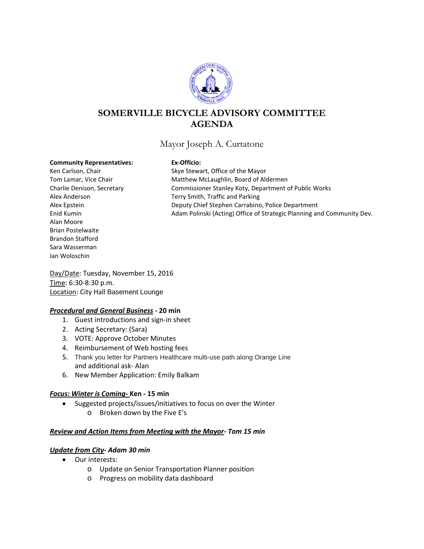

# **SOMERVILLE BICYCLE ADVISORY COMMITTEE AGENDA**

## Mayor Joseph A. Curtatone

#### **Community Representatives: Ex-Officio:**

Alan Moore Brian Postelwaite Brandon Stafford Sara Wasserman Ian Woloschin

Ken Carlson, Chair Skye Stewart, Office of the Mayor Tom Lamar, Vice Chair **Matthew McLaughlin, Board of Aldermen** Charlie Denison, Secretary Commissioner Stanley Koty, Department of Public Works Alex Anderson Terry Smith, Traffic and Parking Alex Epstein Deputy Chief Stephen Carrabino, Police Department Enid Kumin Adam Polinski (Acting) Office of Strategic Planning and Community Dev.

Day/Date: Tuesday, November 15, 2016 Time: 6:30-8:30 p.m. Location: City Hall Basement Lounge

#### *Procedural and General Business -* **20 min**

- 1. Guest introductions and sign-in sheet
- 2. Acting Secretary: (Sara)
- 3. VOTE: Approve October Minutes
- 4. Reimbursement of Web hosting fees
- 5. Thank you letter for Partners Healthcare multi-use path along Orange Line and additional ask- Alan
- 6. New Member Application: Emily Balkam

#### *Focus: Winter is Coming-* **Ken - 15 min**

- Suggested projects/issues/initiatives to focus on over the Winter
	- o Broken down by the Five E's

#### *Review and Action Items from Meeting with the Mayor- Tom 15 min*

#### *Update from City- Adam 30 min*

- Our interests:
	- o Update on Senior Transportation Planner position
	- o Progress on mobility data dashboard